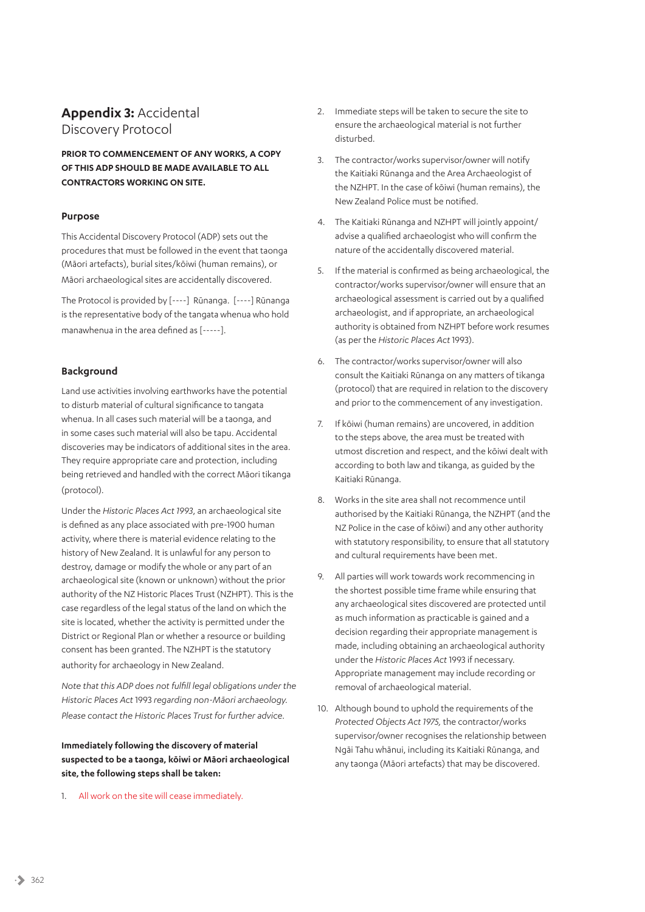# **Appendix 3:** Accidental Discovery Protocol

**PRIOR TO COMMENCEMENT OF ANY WORKS, A COPY OF THIS ADP SHOULD BE MADE AVAILABLE TO ALL CONTRACTORS WORKING ON SITE.** 

#### **Purpose**

This Accidental Discovery Protocol (ADP) sets out the procedures that must be followed in the event that taonga (Māori artefacts), burial sites/kōiwi (human remains), or Māori archaeological sites are accidentally discovered.

The Protocol is provided by [----] Rūnanga. [----] Rūnanga is the representative body of the tangata whenua who hold manawhenua in the area defined as [-----].

## **Background**

Land use activities involving earthworks have the potential to disturb material of cultural significance to tangata whenua. In all cases such material will be a taonga, and in some cases such material will also be tapu. Accidental discoveries may be indicators of additional sites in the area. They require appropriate care and protection, including being retrieved and handled with the correct Māori tikanga (protocol).

Under the *Historic Places Act 1993*, an archaeological site is defined as any place associated with pre-1900 human activity, where there is material evidence relating to the history of New Zealand. It is unlawful for any person to destroy, damage or modify the whole or any part of an archaeological site (known or unknown) without the prior authority of the NZ Historic Places Trust (NZHPT). This is the case regardless of the legal status of the land on which the site is located, whether the activity is permitted under the District or Regional Plan or whether a resource or building consent has been granted. The NZHPT is the statutory authority for archaeology in New Zealand.

*Note that this ADP does not fulfill legal obligations under the Historic Places Act* 1993 *regarding non-Māori archaeology. Please contact the Historic Places Trust for further advice.*

## **Immediately following the discovery of material suspected to be a taonga, kōiwi or Māori archaeological site, the following steps shall be taken:**

1. All work on the site will cease immediately.

- 2. Immediate steps will be taken to secure the site to ensure the archaeological material is not further disturbed.
- 3. The contractor/works supervisor/owner will notify the Kaitiaki Rūnanga and the Area Archaeologist of the NZHPT. In the case of kōiwi (human remains), the New Zealand Police must be notified.
- 4. The Kaitiaki Rūnanga and NZHPT will jointly appoint/ advise a qualified archaeologist who will confirm the nature of the accidentally discovered material.
- 5. If the material is confirmed as being archaeological, the contractor/works supervisor/owner will ensure that an archaeological assessment is carried out by a qualified archaeologist, and if appropriate, an archaeological authority is obtained from NZHPT before work resumes (as per the *Historic Places Act* 1993).
- 6. The contractor/works supervisor/owner will also consult the Kaitiaki Rūnanga on any matters of tikanga (protocol) that are required in relation to the discovery and prior to the commencement of any investigation.
- 7. If kōiwi (human remains) are uncovered, in addition to the steps above, the area must be treated with utmost discretion and respect, and the kōiwi dealt with according to both law and tikanga, as guided by the Kaitiaki Rūnanga.
- 8. Works in the site area shall not recommence until authorised by the Kaitiaki Rūnanga, the NZHPT (and the NZ Police in the case of kōiwi) and any other authority with statutory responsibility, to ensure that all statutory and cultural requirements have been met.
- 9. All parties will work towards work recommencing in the shortest possible time frame while ensuring that any archaeological sites discovered are protected until as much information as practicable is gained and a decision regarding their appropriate management is made, including obtaining an archaeological authority under the *Historic Places Act* 1993 if necessary. Appropriate management may include recording or removal of archaeological material.
- 10. Although bound to uphold the requirements of the *Protected Objects Act 1975,* the contractor/works supervisor/owner recognises the relationship between Ngāi Tahu whānui, including its Kaitiaki Rūnanga, and any taonga (Māori artefacts) that may be discovered.